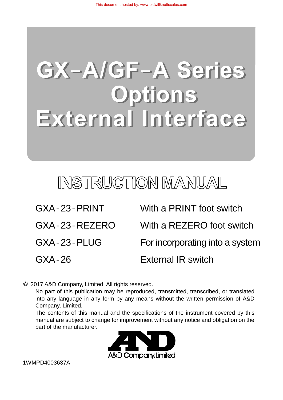# **GX-A/GF-A Series** Options External Interface

## INSTRUCTION MANUAL

| GXA-23-PRINT    | With a PRINT foot switch        |
|-----------------|---------------------------------|
| $GXA-23-REZERO$ | With a REZERO foot switch       |
| GXA-23-PLUG     | For incorporating into a system |
| $GXA-26$        | <b>External IR switch</b>       |

2017 A&D Company, Limited. All rights reserved.

 No part of this publication may be reproduced, transmitted, transcribed, or translated into any language in any form by any means without the written permission of A&D Company, Limited.

 The contents of this manual and the specifications of the instrument covered by this manual are subject to change for improvement without any notice and obligation on the part of the manufacturer.



1WMPD4003637A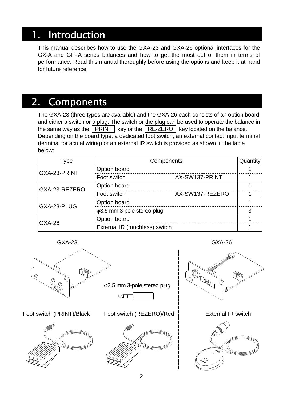### 1. Introduction

This manual describes how to use the GXA-23 and GXA-26 optional interfaces for the GX-A and GF-A series balances and how to get the most out of them in terms of performance. Read this manual thoroughly before using the options and keep it at hand for future reference.

### 2. Components

The GXA-23 (three types are available) and the GXA-26 each consists of an option board and either a switch or a plug. The switch or the plug can be used to operate the balance in the same way as the  $\boxed{\text{PRINT}}$  key or the  $\boxed{\text{RE-ZERO}}$  key located on the balance. Depending on the board type, a dedicated foot switch, an external contact input terminal (terminal for actual wiring) or an external IR switch is provided as shown in the table below:

| Type          | Components                          |                 | Quantity |
|---------------|-------------------------------------|-----------------|----------|
| GXA-23-PRINT  | Option board                        |                 |          |
|               | Foot switch                         | AX-SW137-PRINT  |          |
| GXA-23-REZERO | Option board                        |                 |          |
|               | Foot switch                         | AX-SW137-REZERO |          |
| GXA-23-PLUG   | Option board                        |                 |          |
|               | $\varphi$ 3.5 mm 3-pole stereo plug |                 | 3        |
| <b>GXA-26</b> | Option board                        |                 |          |
|               | External IR (touchless) switch      |                 |          |





Foot switch (PRINT)/Black Foot switch (REZERO)/Red External IR switch





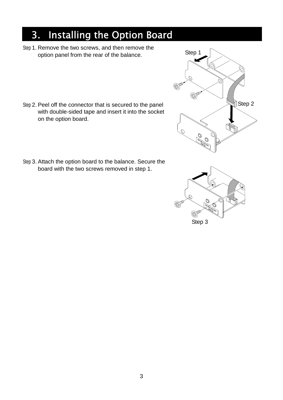## 3. Installing the Option Board

Step 1. Remove the two screws, and then remove the option panel from the rear of the balance.

- Step 2. Peel off the connector that is secured to the panel with double-sided tape and insert it into the socket on the option board.
- Step 3. Attach the option board to the balance. Secure the board with the two screws removed in step 1.



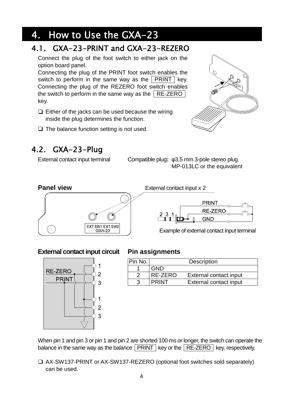### 4. How to Use the GXA-23

### 4.1. GXA-23-PRINT and GXA-23-REZERO

Connect the plug of the foot switch to either jack on the option board panel.

Connecting the plug of the PRINT foot switch enables the switch to perform in the same way as the  $|$  PRINT  $|$  key. Connecting the plug of the REZERO foot switch enables the switch to perform in the same way as the  $R$ E-ZERO key.

- $\Box$  Either of the jacks can be used because the wiring inside the plug determines the function.
- $\Box$  The balance function setting is not used.

### 4.2. GXA-23-Plug

External contact input terminal Compatible plug**:** φ3.5 mm 3-pole stereo plug MP-013LC or the equivalent



#### **External contact input circuit Pin assignments**



| Pin No. |              | <b>Description</b>     |
|---------|--------------|------------------------|
|         | GND          |                        |
|         | RE-ZERO      | External contact input |
|         | <b>PRINT</b> | External contact input |

When pin 1 and pin 3 or pin 1 and pin 2 are shorted 100 ms or longer, the switch can operate the balance in the same way as the balance  $\sqrt{PRINT}$  key or the  $\sqrt{RE-ZERO}$  key, respectively.

AX-SW137-PRINT or AX-SW137-REZERO (optional foot switches sold separately) can be used.

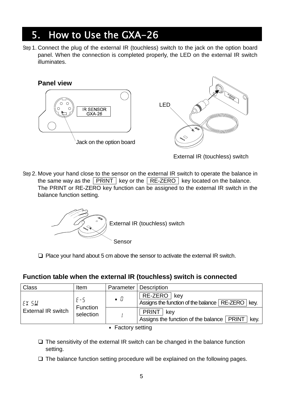### 5. How to Use the GXA-26

Step 1. Connect the plug of the external IR (touchless) switch to the jack on the option board panel. When the connection is completed properly, the LED on the external IR switch illuminates.



External IR (touchless) switch

Step 2. Move your hand close to the sensor on the external IR switch to operate the balance in the same way as the  $\boxed{\text{PRINT}}$  key or the  $\boxed{\text{RE-ZERO}}$  key located on the balance. The PRINT or RE-ZERO key function can be assigned to the external IR switch in the balance function setting.



 $\Box$  Place your hand about 5 cm above the sensor to activate the external IR switch.

#### **Function table when the external IR (touchless) switch is connected**

| <b>Class</b>                       | Item                             |                | Parameter   Description                                                    |
|------------------------------------|----------------------------------|----------------|----------------------------------------------------------------------------|
| EX 5W<br><b>External IR switch</b> | $E - 5$<br>Function<br>selection | $\blacksquare$ | RE-ZERO   key<br>Assigns the function of the balance   RE-ZERO   key.      |
|                                    |                                  |                | <b>PRINT</b><br>kev<br>Assigns the function of the balance   PRINT<br>kev. |
| ■ Factory setting                  |                                  |                |                                                                            |

- $\Box$  The sensitivity of the external IR switch can be changed in the balance function setting.
- $\Box$  The balance function setting procedure will be explained on the following pages.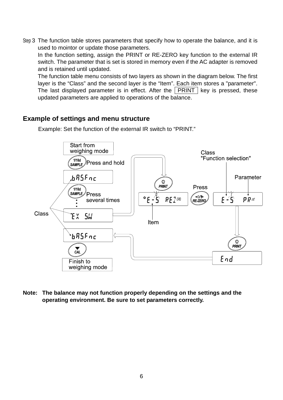Step 3 The function table stores parameters that specify how to operate the balance, and it is used to mointor or update those parameters.

In the function setting, assign the PRINT or RE-ZERO key function to the external IR switch. The parameter that is set is stored in memory even if the AC adapter is removed and is retained until updated.

The function table menu consists of two layers as shown in the diagram below. The first layer is the "Class" and the second layer is the "Item". Each item stores a "parameter". The last displayed parameter is in effect. After the  $|$  PRINT  $|$  key is pressed, these updated parameters are applied to operations of the balance.

#### **Example of settings and menu structure**



Example: Set the function of the external IR switch to "PRINT."

**Note: The balance may not function properly depending on the settings and the operating environment. Be sure to set parameters correctly.**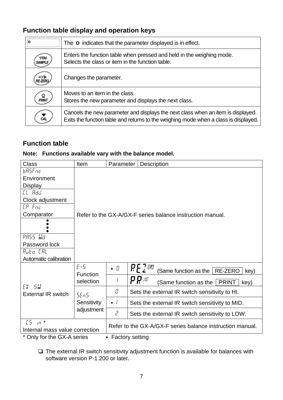### **Function table display and operation keys**

| ۱o                             | The o indicates that the parameter displayed is in effect.                                                                                                               |
|--------------------------------|--------------------------------------------------------------------------------------------------------------------------------------------------------------------------|
| 1/10d<br><b>SAMPLE</b>         | Enters the function table when pressed and held in the weighing mode.<br>Selects the class or item in the function table.                                                |
| $\rightarrow$ 0/1 $\leftarrow$ | Changes the parameter.                                                                                                                                                   |
| <u>©</u><br>PRINT              | Moves to an item in the class.<br>Stores the new parameter and displays the next class.                                                                                  |
|                                | Cancels the new parameter and displays the next class when an item is displayed.<br>Exits the function table and returns to the weighing mode when a class is displayed. |

#### **Function table**

#### **Note: Functions available vary with the balance model.**

| <b>Class</b>                                    | Item                              | Parameter                                                 |             | <b>Description</b>                                               |
|-------------------------------------------------|-----------------------------------|-----------------------------------------------------------|-------------|------------------------------------------------------------------|
| bRSFnc                                          |                                   |                                                           |             |                                                                  |
| Environment                                     |                                   |                                                           |             |                                                                  |
| <b>Display</b>                                  |                                   |                                                           |             |                                                                  |
| <i>EL Rad</i>                                   |                                   |                                                           |             |                                                                  |
| Clock adjustment                                |                                   |                                                           |             |                                                                  |
| $LP$ $Fnc$                                      |                                   |                                                           |             |                                                                  |
| Comparator                                      |                                   | Refer to the GX-A/GX-F series balance instruction manual. |             |                                                                  |
|                                                 |                                   |                                                           |             |                                                                  |
| PRSS Wd                                         |                                   |                                                           |             |                                                                  |
| Password lock                                   |                                   |                                                           |             |                                                                  |
| Ruto [RL                                        |                                   |                                                           |             |                                                                  |
| Automatic calibration                           |                                   |                                                           |             |                                                                  |
| $EX$ $5W$<br><b>External IR switch</b>          | $E - 5$<br>Function<br>selection  | $\blacksquare$                                            |             | <b>REZERO</b><br>(Same function as the<br><b>RE-ZERO</b><br>key) |
|                                                 |                                   | I                                                         | $P$ $P$ $M$ | (Same function as the $\mid$ PRINT<br>key)                       |
|                                                 | 5En5<br>Sensitivity<br>adjustment | Ū                                                         |             | Sets the external IR switch sensitivity to HI.                   |
|                                                 |                                   | . 1                                                       |             | Sets the external IR switch sensitivity to MID.                  |
|                                                 |                                   | 2                                                         |             | Sets the external IR switch sensitivity to LOW.                  |
| $[5 \n m*$                                      |                                   | Refer to the GX-A/GX-F series balance instruction manual. |             |                                                                  |
|                                                 | Internal mass value correction    |                                                           |             |                                                                  |
| * Only for the GX-A series<br>• Factory setting |                                   |                                                           |             |                                                                  |

 $\Box$  The external IR switch sensitivity adjustment function is available for balances with software version P-1.200 or later.